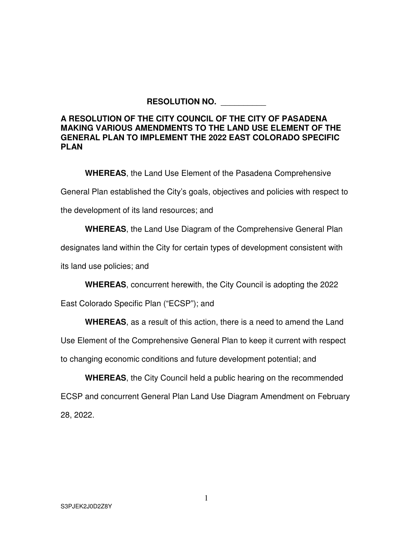## **RESOLUTION NO.** \_\_\_\_\_\_\_\_\_\_

## **A RESOLUTION OF THE CITY COUNCIL OF THE CITY OF PASADENA MAKING VARIOUS AMENDMENTS TO THE LAND USE ELEMENT OF THE GENERAL PLAN TO IMPLEMENT THE 2022 EAST COLORADO SPECIFIC PLAN**

**WHEREAS**, the Land Use Element of the Pasadena Comprehensive

General Plan established the City's goals, objectives and policies with respect to

the development of its land resources; and

**WHEREAS**, the Land Use Diagram of the Comprehensive General Plan

designates land within the City for certain types of development consistent with

its land use policies; and

**WHEREAS**, concurrent herewith, the City Council is adopting the 2022

East Colorado Specific Plan ("ECSP"); and

**WHEREAS**, as a result of this action, there is a need to amend the Land

Use Element of the Comprehensive General Plan to keep it current with respect

to changing economic conditions and future development potential; and

**WHEREAS**, the City Council held a public hearing on the recommended ECSP and concurrent General Plan Land Use Diagram Amendment on February 28, 2022.

1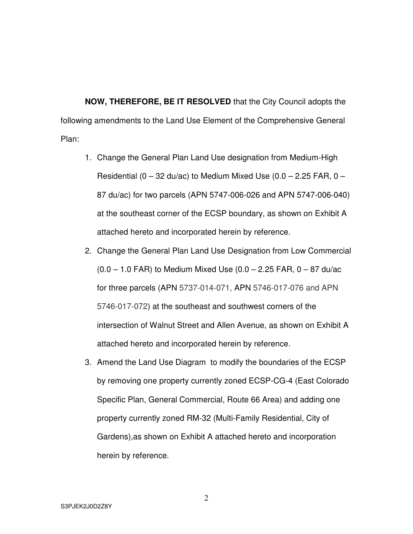**NOW, THEREFORE, BE IT RESOLVED** that the City Council adopts the following amendments to the Land Use Element of the Comprehensive General Plan:

- 1. Change the General Plan Land Use designation from Medium-High Residential  $(0 - 32 \text{ du/ac})$  to Medium Mixed Use  $(0.0 - 2.25 \text{ FAR}, 0 -$ 87 du/ac) for two parcels (APN 5747-006-026 and APN 5747-006-040) at the southeast corner of the ECSP boundary, as shown on Exhibit A attached hereto and incorporated herein by reference.
- 2. Change the General Plan Land Use Designation from Low Commercial  $(0.0 - 1.0$  FAR) to Medium Mixed Use  $(0.0 - 2.25$  FAR,  $0 - 87$  du/ac for three parcels (APN 5737-014-071, APN 5746-017-076 and APN 5746-017-072) at the southeast and southwest corners of the intersection of Walnut Street and Allen Avenue, as shown on Exhibit A attached hereto and incorporated herein by reference.
- 3. Amend the Land Use Diagram to modify the boundaries of the ECSP by removing one property currently zoned ECSP-CG-4 (East Colorado Specific Plan, General Commercial, Route 66 Area) and adding one property currently zoned RM-32 (Multi-Family Residential, City of Gardens),as shown on Exhibit A attached hereto and incorporation herein by reference.